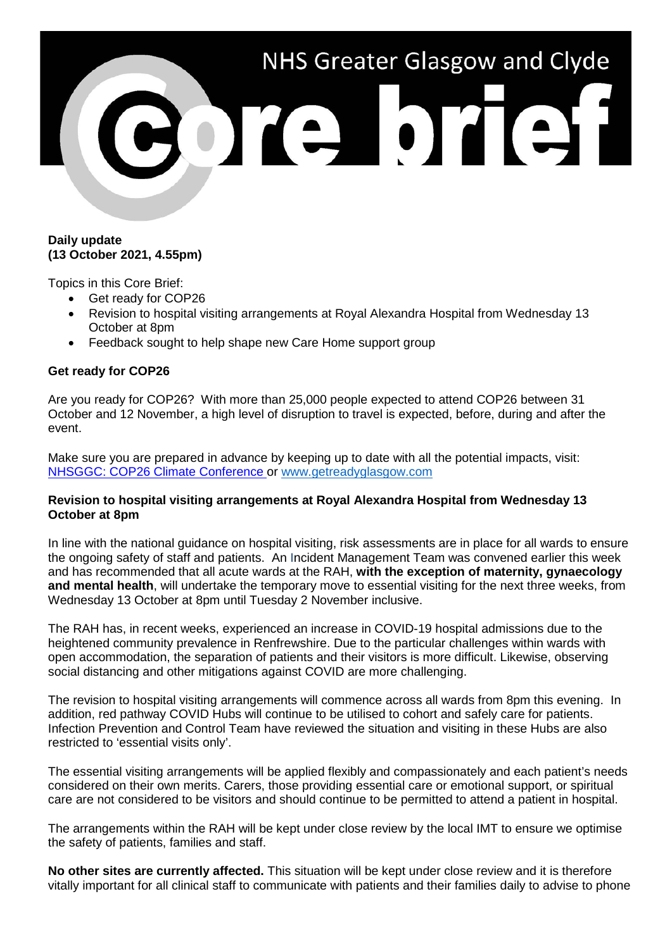

### **Daily update (13 October 2021, 4.55pm)**

Topics in this Core Brief:

- Get ready for COP26
- Revision to hospital visiting arrangements at Royal Alexandra Hospital from Wednesday 13 October at 8pm
- Feedback sought to help shape new Care Home support group

## **Get ready for COP26**

Are you ready for COP26? With more than 25,000 people expected to attend COP26 between 31 October and 12 November, a high level of disruption to travel is expected, before, during and after the event.

Make sure you are prepared in advance by keeping up to date with all the potential impacts, visit: [NHSGGC: COP26 Climate Conference](https://www.nhsggc.org.uk/about-us/cop26-conference/staff-information/) or [www.getreadyglasgow.com](http://www.getreadyglasgow.com/)

#### **Revision to hospital visiting arrangements at Royal Alexandra Hospital from Wednesday 13 October at 8pm**

In line with the national guidance on hospital visiting, risk assessments are in place for all wards to ensure the ongoing safety of staff and patients. An Incident Management Team was convened earlier this week and has recommended that all acute wards at the RAH, **with the exception of maternity, gynaecology and mental health**, will undertake the temporary move to essential visiting for the next three weeks, from Wednesday 13 October at 8pm until Tuesday 2 November inclusive.

The RAH has, in recent weeks, experienced an increase in COVID-19 hospital admissions due to the heightened community prevalence in Renfrewshire. Due to the particular challenges within wards with open accommodation, the separation of patients and their visitors is more difficult. Likewise, observing social distancing and other mitigations against COVID are more challenging.

The revision to hospital visiting arrangements will commence across all wards from 8pm this evening. In addition, red pathway COVID Hubs will continue to be utilised to cohort and safely care for patients. Infection Prevention and Control Team have reviewed the situation and visiting in these Hubs are also restricted to 'essential visits only'.

The essential visiting arrangements will be applied flexibly and compassionately and each patient's needs considered on their own merits. Carers, those providing essential care or emotional support, or spiritual care are not considered to be visitors and should continue to be permitted to attend a patient in hospital.

The arrangements within the RAH will be kept under close review by the local IMT to ensure we optimise the safety of patients, families and staff.

**No other sites are currently affected.** This situation will be kept under close review and it is therefore vitally important for all clinical staff to communicate with patients and their families daily to advise to phone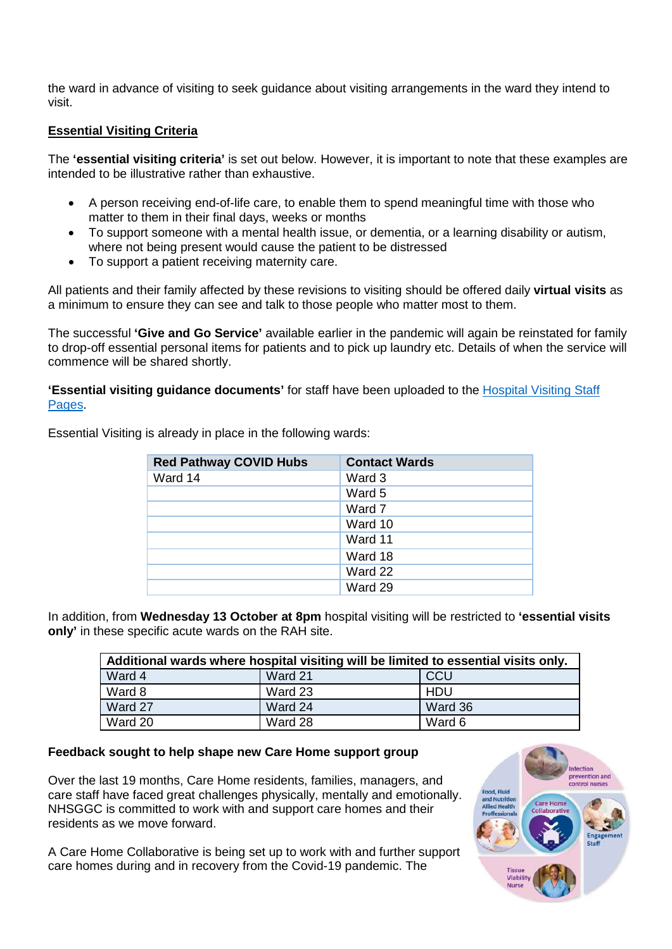the ward in advance of visiting to seek guidance about visiting arrangements in the ward they intend to visit.

# **Essential Visiting Criteria**

The **'essential visiting criteria'** is set out below. However, it is important to note that these examples are intended to be illustrative rather than exhaustive.

- A person receiving end-of-life care, to enable them to spend meaningful time with those who matter to them in their final days, weeks or months
- To support someone with a mental health issue, or dementia, or a learning disability or autism, where not being present would cause the patient to be distressed
- To support a patient receiving maternity care.

All patients and their family affected by these revisions to visiting should be offered daily **virtual visits** as a minimum to ensure they can see and talk to those people who matter most to them.

The successful **'Give and Go Service'** available earlier in the pandemic will again be reinstated for family to drop-off essential personal items for patients and to pick up laundry etc. Details of when the service will commence will be shared shortly.

**'Essential visiting guidance documents'** for staff have been uploaded to the [Hospital Visiting Staff](https://www.nhsggc.org.uk/your-health/health-issues/covid-19-coronavirus/for-patients-the-public/patients-hospital-appointments-visiting/hospital-visiting/)  [Pages.](https://www.nhsggc.org.uk/your-health/health-issues/covid-19-coronavirus/for-patients-the-public/patients-hospital-appointments-visiting/hospital-visiting/)

| <b>Red Pathway COVID Hubs</b> | <b>Contact Wards</b> |
|-------------------------------|----------------------|
| Ward 14                       | Ward 3               |
|                               | Ward 5               |
|                               | Ward 7               |
|                               | Ward 10              |
|                               | Ward 11              |
|                               | Ward 18              |
|                               | Ward 22              |
|                               | Ward 29              |

Essential Visiting is already in place in the following wards:

In addition, from **Wednesday 13 October at 8pm** hospital visiting will be restricted to **'essential visits only'** in these specific acute wards on the RAH site.

| Additional wards where hospital visiting will be limited to essential visits only. |         |            |
|------------------------------------------------------------------------------------|---------|------------|
| Ward 4                                                                             | Ward 21 | CCU        |
| Ward 8                                                                             | Ward 23 | <b>HDU</b> |
| Ward 27                                                                            | Ward 24 | Ward 36    |
| Ward 20                                                                            | Ward 28 | Ward 6     |

## **Feedback sought to help shape new Care Home support group**

Over the last 19 months, Care Home residents, families, managers, and care staff have faced great challenges physically, mentally and emotionally. NHSGGC is committed to work with and support care homes and their residents as we move forward.

A Care Home Collaborative is being set up to work with and further support care homes during and in recovery from the Covid-19 pandemic. The